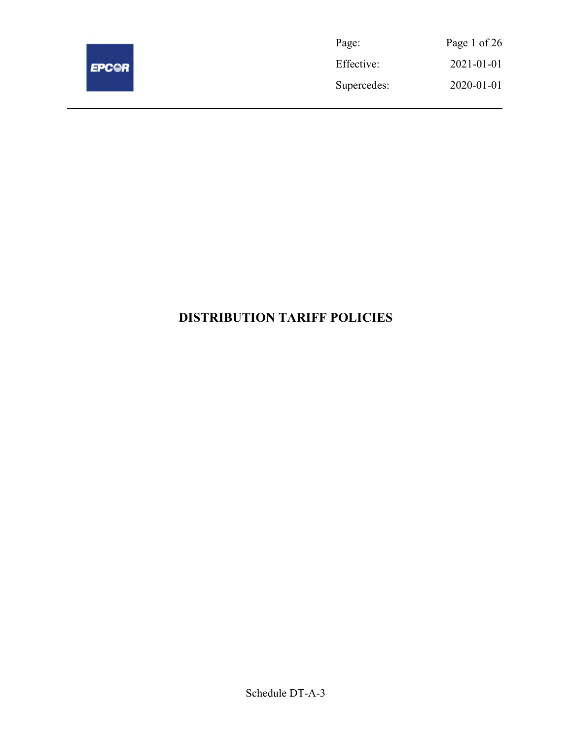

| Page:       | Page 1 of 26 |
|-------------|--------------|
| Effective:  | 2021-01-01   |
| Supercedes: | 2020-01-01   |

# DISTRIBUTION TARIFF POLICIES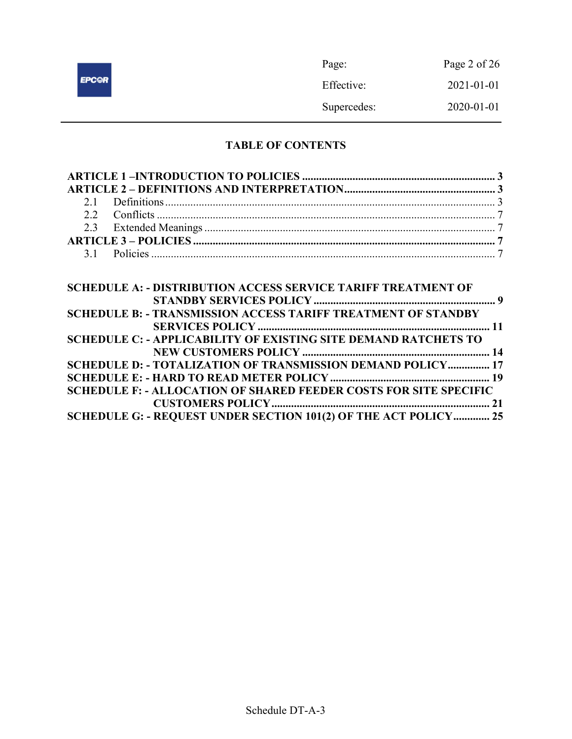|              | Page:       | Page 2 of $26$ |
|--------------|-------------|----------------|
| <b>EPCOR</b> | Effective:  | 2021-01-01     |
|              | Supercedes: | 2020-01-01     |

# TABLE OF CONTENTS

| <b>SCHEDULE A: - DISTRIBUTION ACCESS SERVICE TARIFF TREATMENT OF</b>     |  |
|--------------------------------------------------------------------------|--|
|                                                                          |  |
| <b>SCHEDULE B: - TRANSMISSION ACCESS TARIFF TREATMENT OF STANDBY</b>     |  |
|                                                                          |  |
| <b>SCHEDULE C: - APPLICABILITY OF EXISTING SITE DEMAND RATCHETS TO</b>   |  |
|                                                                          |  |
| SCHEDULE D: - TOTALIZATION OF TRANSMISSION DEMAND POLICY 17              |  |
|                                                                          |  |
| <b>SCHEDULE F: - ALLOCATION OF SHARED FEEDER COSTS FOR SITE SPECIFIC</b> |  |
|                                                                          |  |
| SCHEDULE G: - REQUEST UNDER SECTION 101(2) OF THE ACT POLICY 25          |  |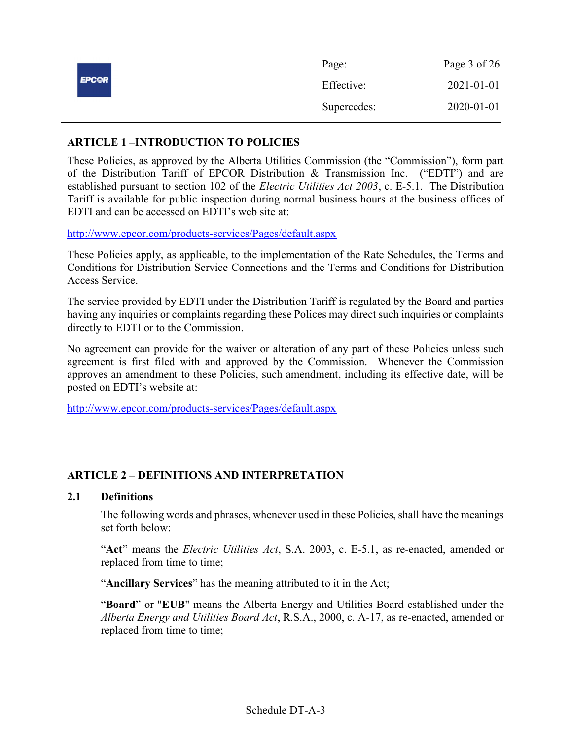|              | Page:       | Page 3 of 26     |
|--------------|-------------|------------------|
| <b>EPCOR</b> | Effective:  | $2021 - 01 - 01$ |
|              | Supercedes: | 2020-01-01       |

### ARTICLE 1 –INTRODUCTION TO POLICIES

These Policies, as approved by the Alberta Utilities Commission (the "Commission"), form part of the Distribution Tariff of EPCOR Distribution & Transmission Inc. ("EDTI") and are established pursuant to section 102 of the Electric Utilities Act 2003, c. E-5.1. The Distribution Tariff is available for public inspection during normal business hours at the business offices of EDTI and can be accessed on EDTI's web site at:

http://www.epcor.com/products-services/Pages/default.aspx

These Policies apply, as applicable, to the implementation of the Rate Schedules, the Terms and Conditions for Distribution Service Connections and the Terms and Conditions for Distribution Access Service.

The service provided by EDTI under the Distribution Tariff is regulated by the Board and parties having any inquiries or complaints regarding these Polices may direct such inquiries or complaints directly to EDTI or to the Commission.

No agreement can provide for the waiver or alteration of any part of these Policies unless such agreement is first filed with and approved by the Commission. Whenever the Commission approves an amendment to these Policies, such amendment, including its effective date, will be posted on EDTI's website at:

http://www.epcor.com/products-services/Pages/default.aspx

# ARTICLE 2 – DEFINITIONS AND INTERPRETATION

### 2.1 Definitions

The following words and phrases, whenever used in these Policies, shall have the meanings set forth below:

"Act" means the *Electric Utilities Act*, S.A. 2003, c. E-5.1, as re-enacted, amended or replaced from time to time;

"Ancillary Services" has the meaning attributed to it in the Act;

"Board" or "EUB" means the Alberta Energy and Utilities Board established under the Alberta Energy and Utilities Board Act, R.S.A., 2000, c. A-17, as re-enacted, amended or replaced from time to time;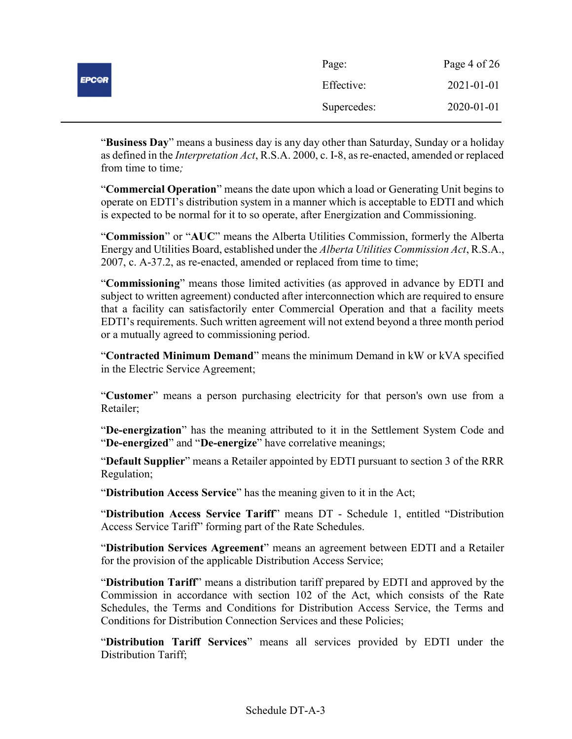|              | Page:       | Page 4 of 26 |
|--------------|-------------|--------------|
| <b>EPCOR</b> | Effective:  | 2021-01-01   |
|              | Supercedes: | 2020-01-01   |

"Business Day" means a business day is any day other than Saturday, Sunday or a holiday as defined in the Interpretation Act, R.S.A. 2000, c. I-8, as re-enacted, amended or replaced from time to time:

"Commercial Operation" means the date upon which a load or Generating Unit begins to operate on EDTI's distribution system in a manner which is acceptable to EDTI and which is expected to be normal for it to so operate, after Energization and Commissioning.

"Commission" or "AUC" means the Alberta Utilities Commission, formerly the Alberta Energy and Utilities Board, established under the Alberta Utilities Commission Act, R.S.A., 2007, c. A-37.2, as re-enacted, amended or replaced from time to time;

"Commissioning" means those limited activities (as approved in advance by EDTI and subject to written agreement) conducted after interconnection which are required to ensure that a facility can satisfactorily enter Commercial Operation and that a facility meets EDTI's requirements. Such written agreement will not extend beyond a three month period or a mutually agreed to commissioning period.

"Contracted Minimum Demand" means the minimum Demand in kW or kVA specified in the Electric Service Agreement;

"Customer" means a person purchasing electricity for that person's own use from a Retailer;

"De-energization" has the meaning attributed to it in the Settlement System Code and "De-energized" and "De-energize" have correlative meanings;

"Default Supplier" means a Retailer appointed by EDTI pursuant to section 3 of the RRR Regulation;

"Distribution Access Service" has the meaning given to it in the Act;

"Distribution Access Service Tariff" means DT - Schedule 1, entitled "Distribution Access Service Tariff" forming part of the Rate Schedules.

"Distribution Services Agreement" means an agreement between EDTI and a Retailer for the provision of the applicable Distribution Access Service;

"Distribution Tariff" means a distribution tariff prepared by EDTI and approved by the Commission in accordance with section 102 of the Act, which consists of the Rate Schedules, the Terms and Conditions for Distribution Access Service, the Terms and Conditions for Distribution Connection Services and these Policies;

"Distribution Tariff Services" means all services provided by EDTI under the Distribution Tariff;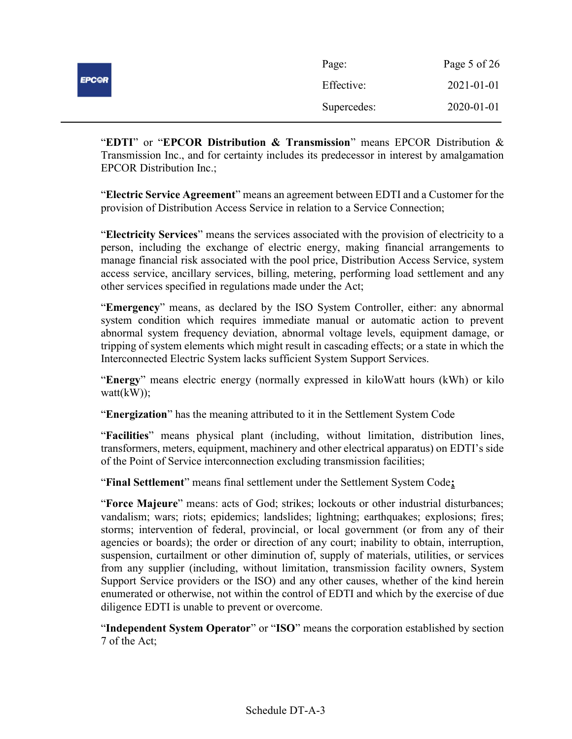|              | Page:       | Page 5 of 26 |
|--------------|-------------|--------------|
| <b>EPC@R</b> | Effective:  | 2021-01-01   |
|              | Supercedes: | 2020-01-01   |

"EDTI" or "EPCOR Distribution  $\&$  Transmission" means EPCOR Distribution  $\&$ Transmission Inc., and for certainty includes its predecessor in interest by amalgamation EPCOR Distribution Inc.;

"Electric Service Agreement" means an agreement between EDTI and a Customer for the provision of Distribution Access Service in relation to a Service Connection;

"Electricity Services" means the services associated with the provision of electricity to a person, including the exchange of electric energy, making financial arrangements to manage financial risk associated with the pool price, Distribution Access Service, system access service, ancillary services, billing, metering, performing load settlement and any other services specified in regulations made under the Act;

"Emergency" means, as declared by the ISO System Controller, either: any abnormal system condition which requires immediate manual or automatic action to prevent abnormal system frequency deviation, abnormal voltage levels, equipment damage, or tripping of system elements which might result in cascading effects; or a state in which the Interconnected Electric System lacks sufficient System Support Services.

"Energy" means electric energy (normally expressed in kiloWatt hours (kWh) or kilo watt(kW));

"Energization" has the meaning attributed to it in the Settlement System Code

"Facilities" means physical plant (including, without limitation, distribution lines, transformers, meters, equipment, machinery and other electrical apparatus) on EDTI's side of the Point of Service interconnection excluding transmission facilities;

"Final Settlement" means final settlement under the Settlement System Code;

"Force Majeure" means: acts of God; strikes; lockouts or other industrial disturbances; vandalism; wars; riots; epidemics; landslides; lightning; earthquakes; explosions; fires; storms; intervention of federal, provincial, or local government (or from any of their agencies or boards); the order or direction of any court; inability to obtain, interruption, suspension, curtailment or other diminution of, supply of materials, utilities, or services from any supplier (including, without limitation, transmission facility owners, System Support Service providers or the ISO) and any other causes, whether of the kind herein enumerated or otherwise, not within the control of EDTI and which by the exercise of due diligence EDTI is unable to prevent or overcome.

"Independent System Operator" or "ISO" means the corporation established by section 7 of the Act;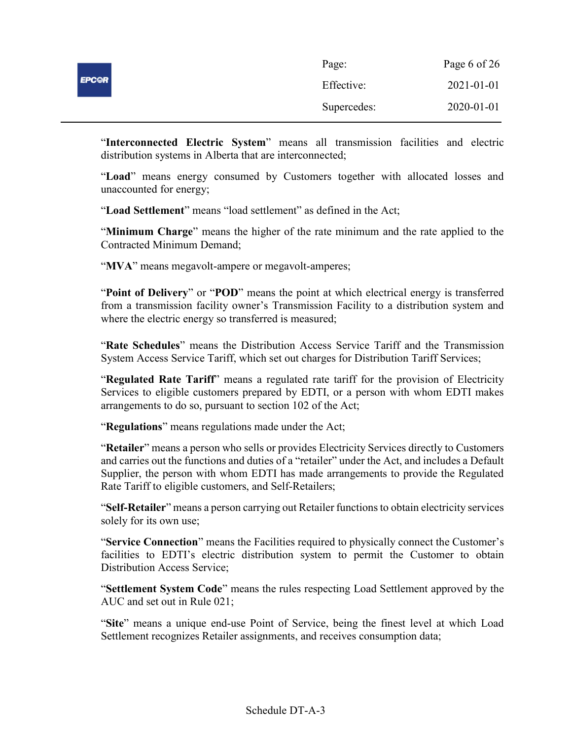| <b>EPC@R</b> | Page:       | Page 6 of 26 |
|--------------|-------------|--------------|
|              | Effective:  | 2021-01-01   |
|              | Supercedes: | 2020-01-01   |

"Interconnected Electric System" means all transmission facilities and electric distribution systems in Alberta that are interconnected;

"Load" means energy consumed by Customers together with allocated losses and unaccounted for energy;

"Load Settlement" means "load settlement" as defined in the Act;

"Minimum Charge" means the higher of the rate minimum and the rate applied to the Contracted Minimum Demand;

"MVA" means megavolt-ampere or megavolt-amperes;

"Point of Delivery" or "POD" means the point at which electrical energy is transferred from a transmission facility owner's Transmission Facility to a distribution system and where the electric energy so transferred is measured;

"Rate Schedules" means the Distribution Access Service Tariff and the Transmission System Access Service Tariff, which set out charges for Distribution Tariff Services;

"Regulated Rate Tariff" means a regulated rate tariff for the provision of Electricity Services to eligible customers prepared by EDTI, or a person with whom EDTI makes arrangements to do so, pursuant to section 102 of the Act;

"Regulations" means regulations made under the Act;

"Retailer" means a person who sells or provides Electricity Services directly to Customers and carries out the functions and duties of a "retailer" under the Act, and includes a Default Supplier, the person with whom EDTI has made arrangements to provide the Regulated Rate Tariff to eligible customers, and Self-Retailers;

"Self-Retailer" means a person carrying out Retailer functions to obtain electricity services solely for its own use;

"Service Connection" means the Facilities required to physically connect the Customer's facilities to EDTI's electric distribution system to permit the Customer to obtain Distribution Access Service;

"Settlement System Code" means the rules respecting Load Settlement approved by the AUC and set out in Rule 021;

"Site" means a unique end-use Point of Service, being the finest level at which Load Settlement recognizes Retailer assignments, and receives consumption data;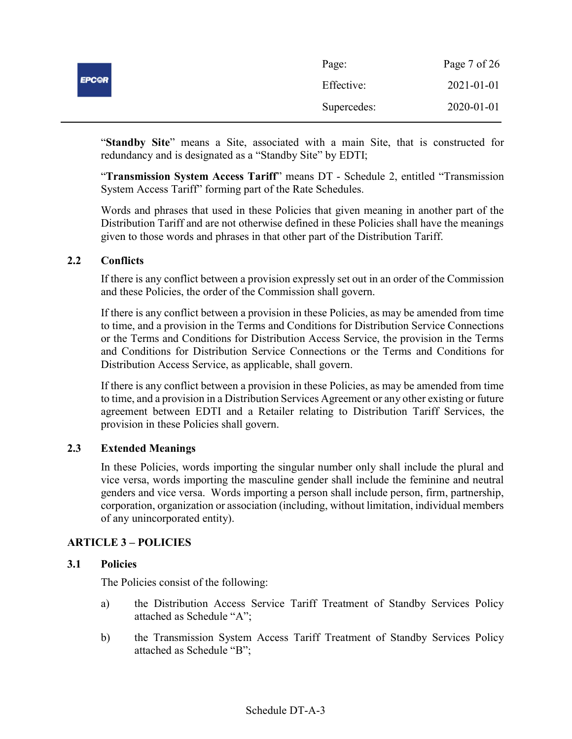| <b>EPC@R</b> | Page:       | Page 7 of 26 |
|--------------|-------------|--------------|
|              | Effective:  | 2021-01-01   |
|              | Supercedes: | 2020-01-01   |

"Standby Site" means a Site, associated with a main Site, that is constructed for redundancy and is designated as a "Standby Site" by EDTI;

"Transmission System Access Tariff" means DT - Schedule 2, entitled "Transmission System Access Tariff" forming part of the Rate Schedules.

Words and phrases that used in these Policies that given meaning in another part of the Distribution Tariff and are not otherwise defined in these Policies shall have the meanings given to those words and phrases in that other part of the Distribution Tariff.

### 2.2 Conflicts

If there is any conflict between a provision expressly set out in an order of the Commission and these Policies, the order of the Commission shall govern.

If there is any conflict between a provision in these Policies, as may be amended from time to time, and a provision in the Terms and Conditions for Distribution Service Connections or the Terms and Conditions for Distribution Access Service, the provision in the Terms and Conditions for Distribution Service Connections or the Terms and Conditions for Distribution Access Service, as applicable, shall govern.

If there is any conflict between a provision in these Policies, as may be amended from time to time, and a provision in a Distribution Services Agreement or any other existing or future agreement between EDTI and a Retailer relating to Distribution Tariff Services, the provision in these Policies shall govern.

### 2.3 Extended Meanings

In these Policies, words importing the singular number only shall include the plural and vice versa, words importing the masculine gender shall include the feminine and neutral genders and vice versa. Words importing a person shall include person, firm, partnership, corporation, organization or association (including, without limitation, individual members of any unincorporated entity).

# ARTICLE 3 – POLICIES

### 3.1 Policies

The Policies consist of the following:

- a) the Distribution Access Service Tariff Treatment of Standby Services Policy attached as Schedule "A";
- b) the Transmission System Access Tariff Treatment of Standby Services Policy attached as Schedule "B";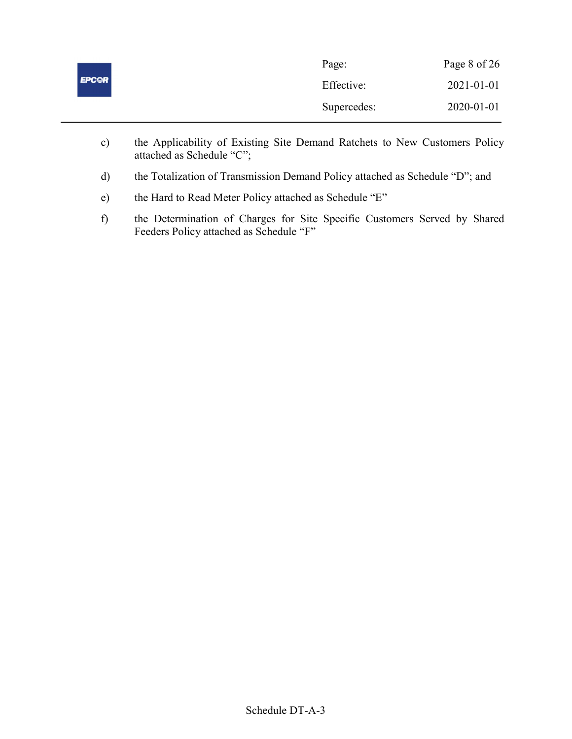| <b>EPC@R</b> | Page:       | Page 8 of 26 |
|--------------|-------------|--------------|
|              | Effective:  | 2021-01-01   |
|              | Supercedes: | 2020-01-01   |

- c) the Applicability of Existing Site Demand Ratchets to New Customers Policy attached as Schedule "C";
- d) the Totalization of Transmission Demand Policy attached as Schedule "D"; and
- e) the Hard to Read Meter Policy attached as Schedule "E"
- f) the Determination of Charges for Site Specific Customers Served by Shared Feeders Policy attached as Schedule "F"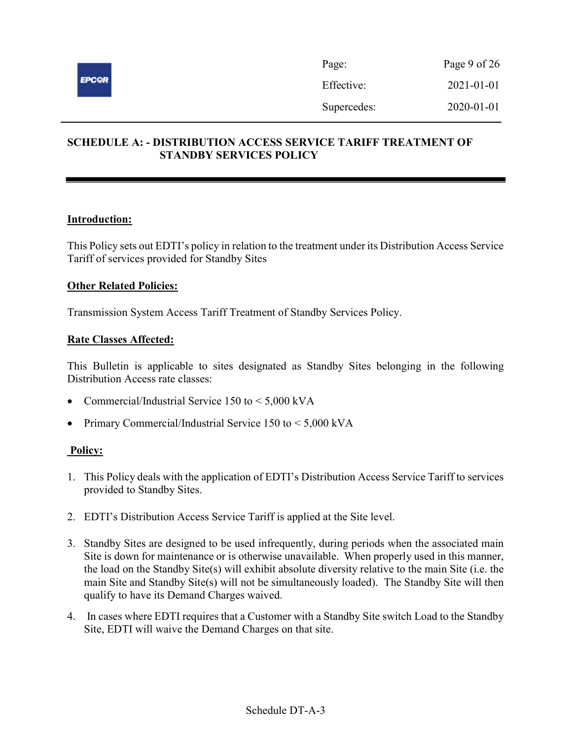

# SCHEDULE A: - DISTRIBUTION ACCESS SERVICE TARIFF TREATMENT OF STANDBY SERVICES POLICY

### Introduction:

This Policy sets out EDTI's policy in relation to the treatment under its Distribution Access Service Tariff of services provided for Standby Sites

### Other Related Policies:

Transmission System Access Tariff Treatment of Standby Services Policy.

### Rate Classes Affected:

This Bulletin is applicable to sites designated as Standby Sites belonging in the following Distribution Access rate classes:

- Commercial/Industrial Service 150 to < 5,000 kVA
- Primary Commercial/Industrial Service  $150$  to  $\leq 5,000$  kVA

- 1. This Policy deals with the application of EDTI's Distribution Access Service Tariff to services provided to Standby Sites.
- 2. EDTI's Distribution Access Service Tariff is applied at the Site level.
- 3. Standby Sites are designed to be used infrequently, during periods when the associated main Site is down for maintenance or is otherwise unavailable. When properly used in this manner, the load on the Standby Site(s) will exhibit absolute diversity relative to the main Site (i.e. the main Site and Standby Site(s) will not be simultaneously loaded). The Standby Site will then qualify to have its Demand Charges waived.
- 4. In cases where EDTI requires that a Customer with a Standby Site switch Load to the Standby Site, EDTI will waive the Demand Charges on that site.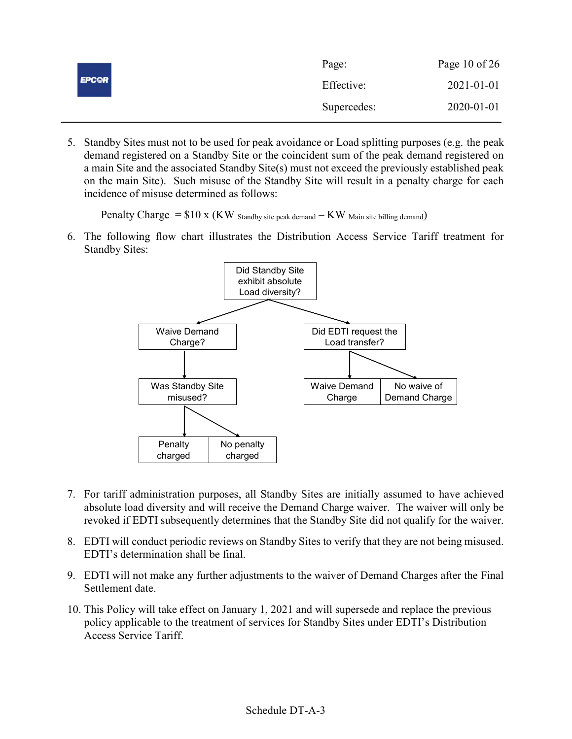|              | Page:       | Page 10 of $26$  |
|--------------|-------------|------------------|
| <b>EPC@R</b> | Effective:  | $2021 - 01 - 01$ |
|              | Supercedes: | 2020-01-01       |

5. Standby Sites must not to be used for peak avoidance or Load splitting purposes (e.g. the peak demand registered on a Standby Site or the coincident sum of the peak demand registered on a main Site and the associated Standby Site(s) must not exceed the previously established peak on the main Site). Such misuse of the Standby Site will result in a penalty charge for each incidence of misuse determined as follows:

Penalty Charge  $= $10 \times (KW)$  Standby site peak demand  $-KW$  Main site billing demand)

6. The following flow chart illustrates the Distribution Access Service Tariff treatment for Standby Sites:



- 7. For tariff administration purposes, all Standby Sites are initially assumed to have achieved absolute load diversity and will receive the Demand Charge waiver. The waiver will only be revoked if EDTI subsequently determines that the Standby Site did not qualify for the waiver.
- 8. EDTI will conduct periodic reviews on Standby Sites to verify that they are not being misused. EDTI's determination shall be final.
- 9. EDTI will not make any further adjustments to the waiver of Demand Charges after the Final Settlement date.
- 10. This Policy will take effect on January 1, 2021 and will supersede and replace the previous policy applicable to the treatment of services for Standby Sites under EDTI's Distribution Access Service Tariff.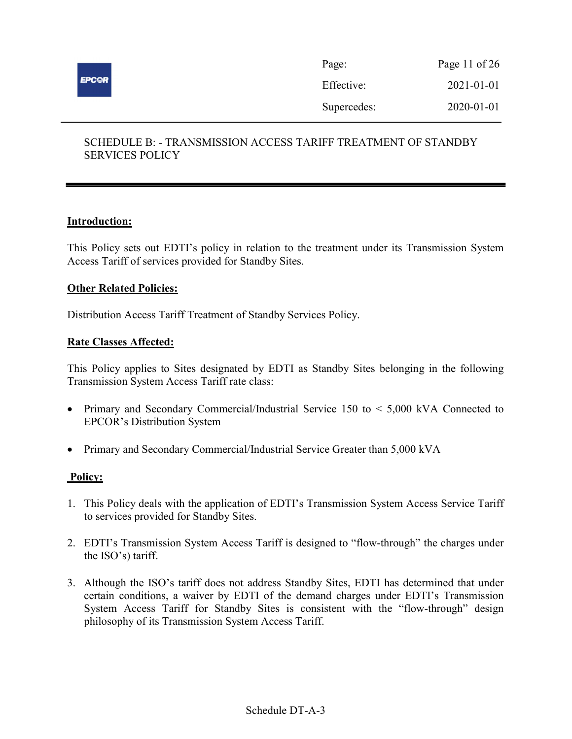

| Page:       | Page 11 of $26$ |
|-------------|-----------------|
| Effective:  | 2021-01-01      |
| Supercedes: | 2020-01-01      |

# SCHEDULE B: - TRANSMISSION ACCESS TARIFF TREATMENT OF STANDBY SERVICES POLICY

### Introduction:

This Policy sets out EDTI's policy in relation to the treatment under its Transmission System Access Tariff of services provided for Standby Sites.

#### Other Related Policies:

Distribution Access Tariff Treatment of Standby Services Policy.

#### Rate Classes Affected:

This Policy applies to Sites designated by EDTI as Standby Sites belonging in the following Transmission System Access Tariff rate class:

- Primary and Secondary Commercial/Industrial Service 150 to < 5,000 kVA Connected to EPCOR's Distribution System
- Primary and Secondary Commercial/Industrial Service Greater than 5,000 kVA

- 1. This Policy deals with the application of EDTI's Transmission System Access Service Tariff to services provided for Standby Sites.
- 2. EDTI's Transmission System Access Tariff is designed to "flow-through" the charges under the ISO's) tariff.
- 3. Although the ISO's tariff does not address Standby Sites, EDTI has determined that under certain conditions, a waiver by EDTI of the demand charges under EDTI's Transmission System Access Tariff for Standby Sites is consistent with the "flow-through" design philosophy of its Transmission System Access Tariff.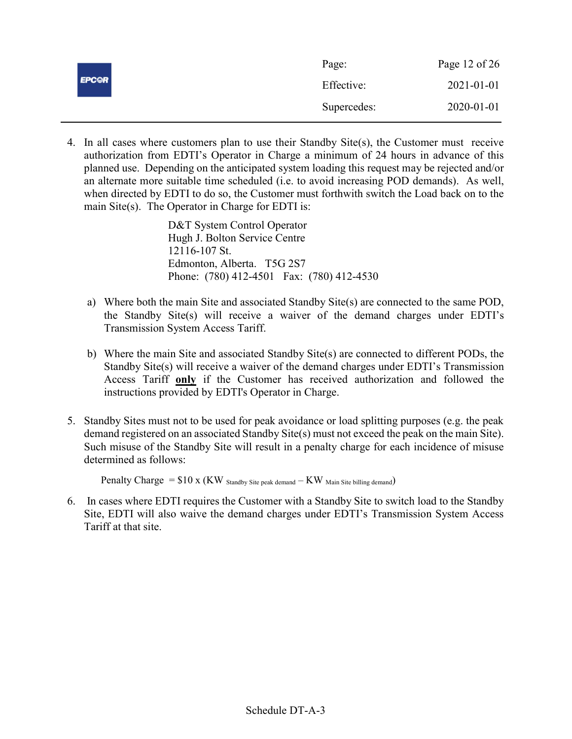|              | Page:       | Page 12 of $26$  |
|--------------|-------------|------------------|
| <b>EPCOR</b> | Effective:  | $2021 - 01 - 01$ |
|              | Supercedes: | 2020-01-01       |

4. In all cases where customers plan to use their Standby Site(s), the Customer must receive authorization from EDTI's Operator in Charge a minimum of 24 hours in advance of this planned use. Depending on the anticipated system loading this request may be rejected and/or an alternate more suitable time scheduled (i.e. to avoid increasing POD demands). As well, when directed by EDTI to do so, the Customer must forthwith switch the Load back on to the main Site(s). The Operator in Charge for EDTI is:

> D&T System Control Operator Hugh J. Bolton Service Centre 12116-107 St. Edmonton, Alberta. T5G 2S7 Phone: (780) 412-4501 Fax: (780) 412-4530

- a) Where both the main Site and associated Standby Site(s) are connected to the same POD, the Standby Site(s) will receive a waiver of the demand charges under EDTI's Transmission System Access Tariff.
- b) Where the main Site and associated Standby Site(s) are connected to different PODs, the Standby Site(s) will receive a waiver of the demand charges under EDTI's Transmission Access Tariff only if the Customer has received authorization and followed the instructions provided by EDTI's Operator in Charge.
- 5. Standby Sites must not to be used for peak avoidance or load splitting purposes (e.g. the peak demand registered on an associated Standby Site(s) must not exceed the peak on the main Site). Such misuse of the Standby Site will result in a penalty charge for each incidence of misuse determined as follows:

Penalty Charge  $= $10 \times (KW)$  Standby Site peak demand  $-KW$  Main Site billing demand)

6. In cases where EDTI requires the Customer with a Standby Site to switch load to the Standby Site, EDTI will also waive the demand charges under EDTI's Transmission System Access Tariff at that site.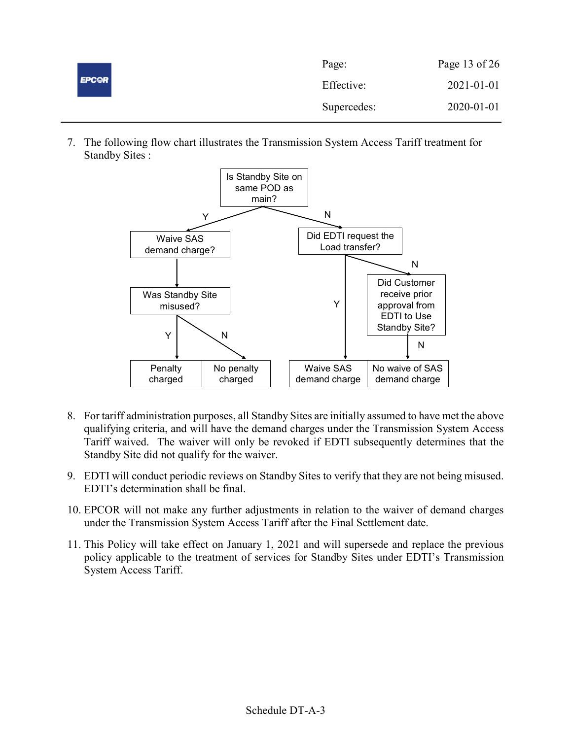|              | Page:       | Page 13 of $26$  |
|--------------|-------------|------------------|
| <b>EPC@R</b> | Effective:  | $2021 - 01 - 01$ |
|              | Supercedes: | 2020-01-01       |

7. The following flow chart illustrates the Transmission System Access Tariff treatment for Standby Sites :



- 8. For tariff administration purposes, all Standby Sites are initially assumed to have met the above qualifying criteria, and will have the demand charges under the Transmission System Access Tariff waived. The waiver will only be revoked if EDTI subsequently determines that the Standby Site did not qualify for the waiver.
- 9. EDTI will conduct periodic reviews on Standby Sites to verify that they are not being misused. EDTI's determination shall be final.
- 10. EPCOR will not make any further adjustments in relation to the waiver of demand charges under the Transmission System Access Tariff after the Final Settlement date.
- 11. This Policy will take effect on January 1, 2021 and will supersede and replace the previous policy applicable to the treatment of services for Standby Sites under EDTI's Transmission System Access Tariff.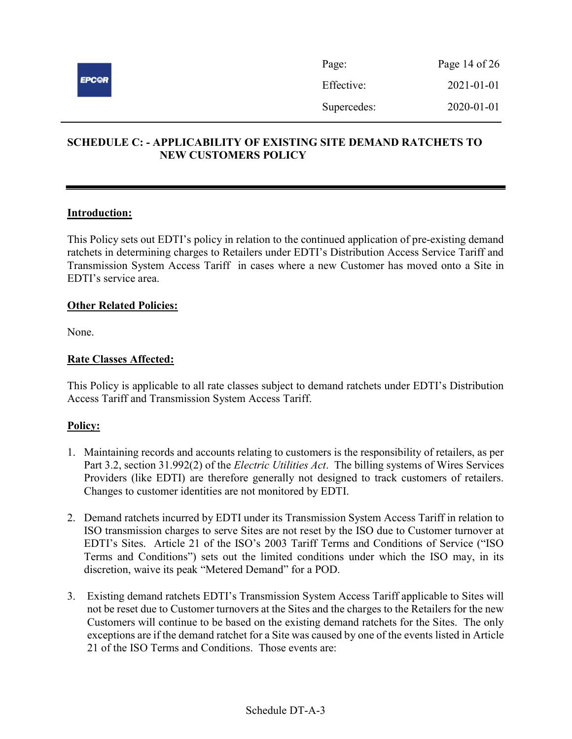

# SCHEDULE C: - APPLICABILITY OF EXISTING SITE DEMAND RATCHETS TO NEW CUSTOMERS POLICY

### Introduction:

This Policy sets out EDTI's policy in relation to the continued application of pre-existing demand ratchets in determining charges to Retailers under EDTI's Distribution Access Service Tariff and Transmission System Access Tariff in cases where a new Customer has moved onto a Site in EDTI's service area.

### **Other Related Policies:**

None.

### Rate Classes Affected:

This Policy is applicable to all rate classes subject to demand ratchets under EDTI's Distribution Access Tariff and Transmission System Access Tariff.

- 1. Maintaining records and accounts relating to customers is the responsibility of retailers, as per Part 3.2, section 31.992(2) of the *Electric Utilities Act*. The billing systems of Wires Services Providers (like EDTI) are therefore generally not designed to track customers of retailers. Changes to customer identities are not monitored by EDTI.
- 2. Demand ratchets incurred by EDTI under its Transmission System Access Tariff in relation to ISO transmission charges to serve Sites are not reset by the ISO due to Customer turnover at EDTI's Sites. Article 21 of the ISO's 2003 Tariff Terms and Conditions of Service ("ISO Terms and Conditions") sets out the limited conditions under which the ISO may, in its discretion, waive its peak "Metered Demand" for a POD.
- 3. Existing demand ratchets EDTI's Transmission System Access Tariff applicable to Sites will not be reset due to Customer turnovers at the Sites and the charges to the Retailers for the new Customers will continue to be based on the existing demand ratchets for the Sites. The only exceptions are if the demand ratchet for a Site was caused by one of the events listed in Article 21 of the ISO Terms and Conditions. Those events are: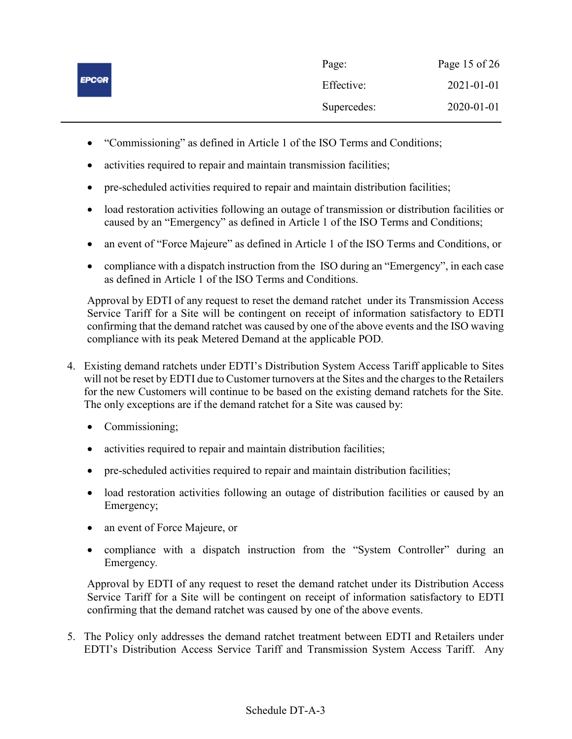|              | Page:       | Page 15 of $26$ |
|--------------|-------------|-----------------|
| <b>EPCOR</b> | Effective:  | 2021-01-01      |
|              | Supercedes: | 2020-01-01      |

- "Commissioning" as defined in Article 1 of the ISO Terms and Conditions;
- activities required to repair and maintain transmission facilities;
- pre-scheduled activities required to repair and maintain distribution facilities;
- load restoration activities following an outage of transmission or distribution facilities or caused by an "Emergency" as defined in Article 1 of the ISO Terms and Conditions;
- an event of "Force Majeure" as defined in Article 1 of the ISO Terms and Conditions, or
- compliance with a dispatch instruction from the ISO during an "Emergency", in each case as defined in Article 1 of the ISO Terms and Conditions.

Approval by EDTI of any request to reset the demand ratchet under its Transmission Access Service Tariff for a Site will be contingent on receipt of information satisfactory to EDTI confirming that the demand ratchet was caused by one of the above events and the ISO waving compliance with its peak Metered Demand at the applicable POD.

- 4. Existing demand ratchets under EDTI's Distribution System Access Tariff applicable to Sites will not be reset by EDTI due to Customer turnovers at the Sites and the charges to the Retailers for the new Customers will continue to be based on the existing demand ratchets for the Site. The only exceptions are if the demand ratchet for a Site was caused by:
	- Commissioning;
	- activities required to repair and maintain distribution facilities;
	- pre-scheduled activities required to repair and maintain distribution facilities;
	- load restoration activities following an outage of distribution facilities or caused by an Emergency;
	- an event of Force Majeure, or
	- compliance with a dispatch instruction from the "System Controller" during an Emergency.

Approval by EDTI of any request to reset the demand ratchet under its Distribution Access Service Tariff for a Site will be contingent on receipt of information satisfactory to EDTI confirming that the demand ratchet was caused by one of the above events.

5. The Policy only addresses the demand ratchet treatment between EDTI and Retailers under EDTI's Distribution Access Service Tariff and Transmission System Access Tariff. Any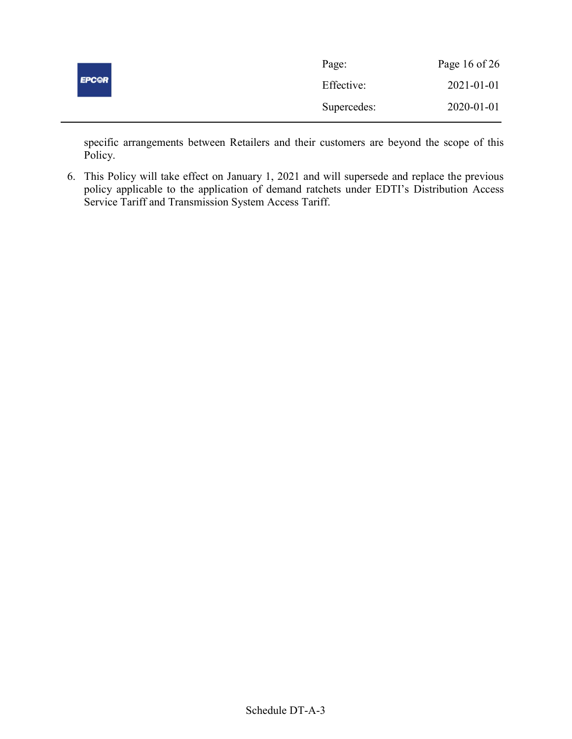|              | Page:       | Page 16 of $26$ |
|--------------|-------------|-----------------|
| <b>EPCOR</b> | Effective:  | 2021-01-01      |
|              | Supercedes: | 2020-01-01      |

specific arrangements between Retailers and their customers are beyond the scope of this Policy.

6. This Policy will take effect on January 1, 2021 and will supersede and replace the previous policy applicable to the application of demand ratchets under EDTI's Distribution Access Service Tariff and Transmission System Access Tariff.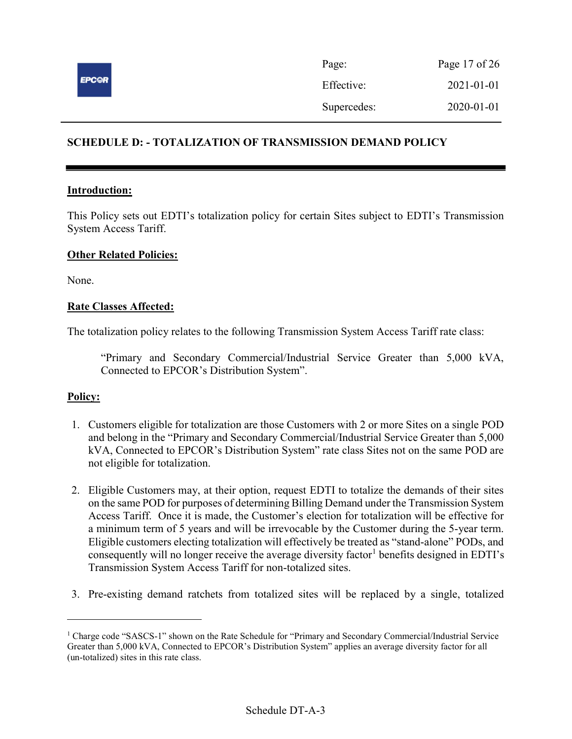

# SCHEDULE D: - TOTALIZATION OF TRANSMISSION DEMAND POLICY

### Introduction:

This Policy sets out EDTI's totalization policy for certain Sites subject to EDTI's Transmission System Access Tariff.

### Other Related Policies:

None.

### Rate Classes Affected:

The totalization policy relates to the following Transmission System Access Tariff rate class:

"Primary and Secondary Commercial/Industrial Service Greater than 5,000 kVA, Connected to EPCOR's Distribution System".

### Policy:

 $\overline{a}$ 

- 1. Customers eligible for totalization are those Customers with 2 or more Sites on a single POD and belong in the "Primary and Secondary Commercial/Industrial Service Greater than 5,000 kVA, Connected to EPCOR's Distribution System" rate class Sites not on the same POD are not eligible for totalization.
- 2. Eligible Customers may, at their option, request EDTI to totalize the demands of their sites on the same POD for purposes of determining Billing Demand under the Transmission System Access Tariff. Once it is made, the Customer's election for totalization will be effective for a minimum term of 5 years and will be irrevocable by the Customer during the 5-year term. Eligible customers electing totalization will effectively be treated as "stand-alone" PODs, and consequently will no longer receive the average diversity factor<sup>1</sup> benefits designed in EDTI's Transmission System Access Tariff for non-totalized sites.
- 3. Pre-existing demand ratchets from totalized sites will be replaced by a single, totalized

<sup>&</sup>lt;sup>1</sup> Charge code "SASCS-1" shown on the Rate Schedule for "Primary and Secondary Commercial/Industrial Service Greater than 5,000 kVA, Connected to EPCOR's Distribution System" applies an average diversity factor for all (un-totalized) sites in this rate class.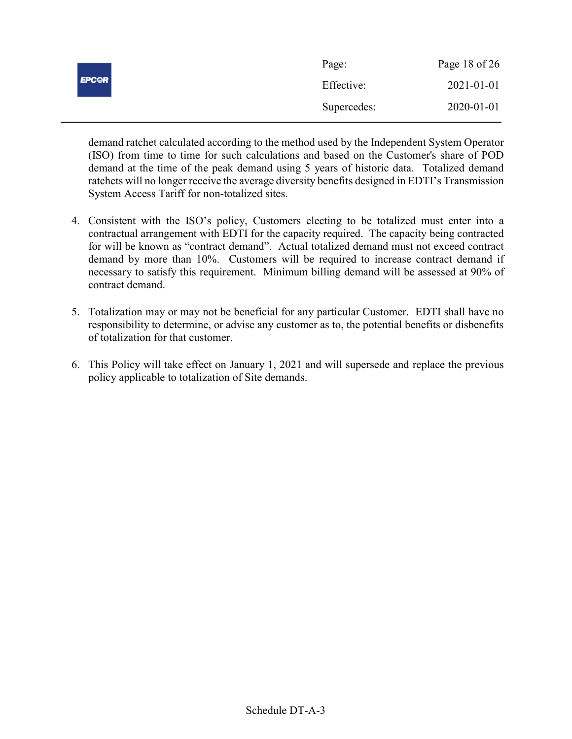|              | Page:       | Page 18 of $26$  |
|--------------|-------------|------------------|
| <b>EPCOR</b> | Effective:  | $2021 - 01 - 01$ |
|              | Supercedes: | 2020-01-01       |

demand ratchet calculated according to the method used by the Independent System Operator (ISO) from time to time for such calculations and based on the Customer's share of POD demand at the time of the peak demand using 5 years of historic data. Totalized demand ratchets will no longer receive the average diversity benefits designed in EDTI's Transmission System Access Tariff for non-totalized sites.

- 4. Consistent with the ISO's policy, Customers electing to be totalized must enter into a contractual arrangement with EDTI for the capacity required. The capacity being contracted for will be known as "contract demand". Actual totalized demand must not exceed contract demand by more than 10%. Customers will be required to increase contract demand if necessary to satisfy this requirement. Minimum billing demand will be assessed at 90% of contract demand.
- 5. Totalization may or may not be beneficial for any particular Customer. EDTI shall have no responsibility to determine, or advise any customer as to, the potential benefits or disbenefits of totalization for that customer.
- 6. This Policy will take effect on January 1, 2021 and will supersede and replace the previous policy applicable to totalization of Site demands.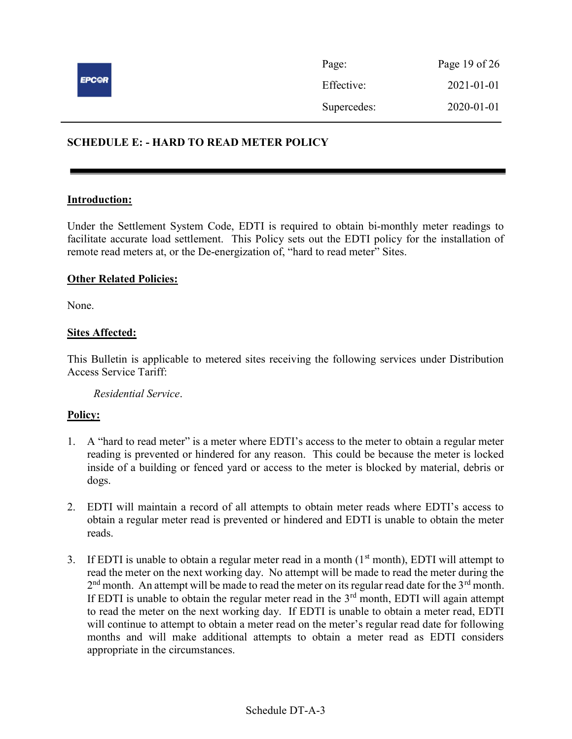

| Page:       | Page 19 of $26$ |
|-------------|-----------------|
| Effective:  | 2021-01-01      |
| Supercedes: | 2020-01-01      |

# SCHEDULE E: - HARD TO READ METER POLICY

#### Introduction:

Under the Settlement System Code, EDTI is required to obtain bi-monthly meter readings to facilitate accurate load settlement. This Policy sets out the EDTI policy for the installation of remote read meters at, or the De-energization of, "hard to read meter" Sites.

#### **Other Related Policies:**

None.

### **Sites Affected:**

This Bulletin is applicable to metered sites receiving the following services under Distribution Access Service Tariff:

Residential Service.

- 1. A "hard to read meter" is a meter where EDTI's access to the meter to obtain a regular meter reading is prevented or hindered for any reason. This could be because the meter is locked inside of a building or fenced yard or access to the meter is blocked by material, debris or dogs.
- 2. EDTI will maintain a record of all attempts to obtain meter reads where EDTI's access to obtain a regular meter read is prevented or hindered and EDTI is unable to obtain the meter reads.
- 3. If EDTI is unable to obtain a regular meter read in a month  $(1<sup>st</sup>$  month), EDTI will attempt to read the meter on the next working day. No attempt will be made to read the meter during the  $2<sup>nd</sup>$  month. An attempt will be made to read the meter on its regular read date for the 3<sup>rd</sup> month. If EDTI is unable to obtain the regular meter read in the  $3<sup>rd</sup>$  month, EDTI will again attempt to read the meter on the next working day. If EDTI is unable to obtain a meter read, EDTI will continue to attempt to obtain a meter read on the meter's regular read date for following months and will make additional attempts to obtain a meter read as EDTI considers appropriate in the circumstances.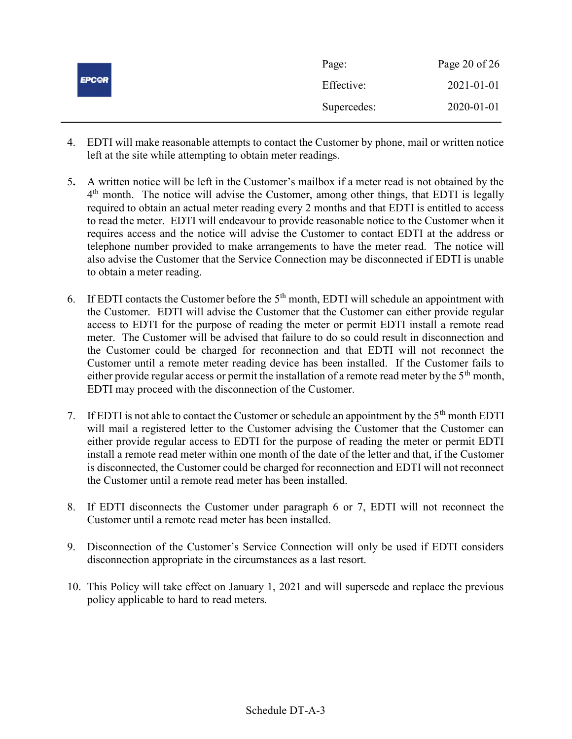|              | Page:       | Page 20 of $26$  |
|--------------|-------------|------------------|
| <b>EPCOR</b> | Effective:  | $2021 - 01 - 01$ |
|              | Supercedes: | 2020-01-01       |

- 4. EDTI will make reasonable attempts to contact the Customer by phone, mail or written notice left at the site while attempting to obtain meter readings.
- 5. A written notice will be left in the Customer's mailbox if a meter read is not obtained by the 4<sup>th</sup> month. The notice will advise the Customer, among other things, that EDTI is legally required to obtain an actual meter reading every 2 months and that EDTI is entitled to access to read the meter. EDTI will endeavour to provide reasonable notice to the Customer when it requires access and the notice will advise the Customer to contact EDTI at the address or telephone number provided to make arrangements to have the meter read. The notice will also advise the Customer that the Service Connection may be disconnected if EDTI is unable to obtain a meter reading.
- 6. If EDTI contacts the Customer before the  $5<sup>th</sup>$  month, EDTI will schedule an appointment with the Customer. EDTI will advise the Customer that the Customer can either provide regular access to EDTI for the purpose of reading the meter or permit EDTI install a remote read meter. The Customer will be advised that failure to do so could result in disconnection and the Customer could be charged for reconnection and that EDTI will not reconnect the Customer until a remote meter reading device has been installed. If the Customer fails to either provide regular access or permit the installation of a remote read meter by the  $5<sup>th</sup>$  month, EDTI may proceed with the disconnection of the Customer.
- 7. If EDTI is not able to contact the Customer or schedule an appointment by the  $5<sup>th</sup>$  month EDTI will mail a registered letter to the Customer advising the Customer that the Customer can either provide regular access to EDTI for the purpose of reading the meter or permit EDTI install a remote read meter within one month of the date of the letter and that, if the Customer is disconnected, the Customer could be charged for reconnection and EDTI will not reconnect the Customer until a remote read meter has been installed.
- 8. If EDTI disconnects the Customer under paragraph 6 or 7, EDTI will not reconnect the Customer until a remote read meter has been installed.
- 9. Disconnection of the Customer's Service Connection will only be used if EDTI considers disconnection appropriate in the circumstances as a last resort.
- 10. This Policy will take effect on January 1, 2021 and will supersede and replace the previous policy applicable to hard to read meters.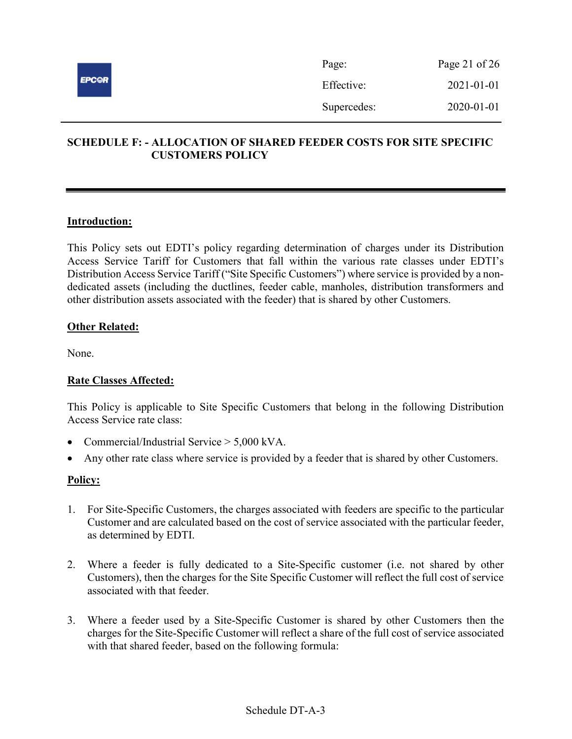

| Page:       | Page 21 of $26$  |
|-------------|------------------|
| Effective:  | $2021 - 01 - 01$ |
| Supercedes: | 2020-01-01       |

# SCHEDULE F: - ALLOCATION OF SHARED FEEDER COSTS FOR SITE SPECIFIC CUSTOMERS POLICY

### Introduction:

This Policy sets out EDTI's policy regarding determination of charges under its Distribution Access Service Tariff for Customers that fall within the various rate classes under EDTI's Distribution Access Service Tariff ("Site Specific Customers") where service is provided by a nondedicated assets (including the ductlines, feeder cable, manholes, distribution transformers and other distribution assets associated with the feeder) that is shared by other Customers.

### **Other Related:**

None.

### Rate Classes Affected:

This Policy is applicable to Site Specific Customers that belong in the following Distribution Access Service rate class:

- Commercial/Industrial Service > 5,000 kVA.
- Any other rate class where service is provided by a feeder that is shared by other Customers.

- 1. For Site-Specific Customers, the charges associated with feeders are specific to the particular Customer and are calculated based on the cost of service associated with the particular feeder, as determined by EDTI.
- 2. Where a feeder is fully dedicated to a Site-Specific customer (i.e. not shared by other Customers), then the charges for the Site Specific Customer will reflect the full cost of service associated with that feeder.
- 3. Where a feeder used by a Site-Specific Customer is shared by other Customers then the charges for the Site-Specific Customer will reflect a share of the full cost of service associated with that shared feeder, based on the following formula: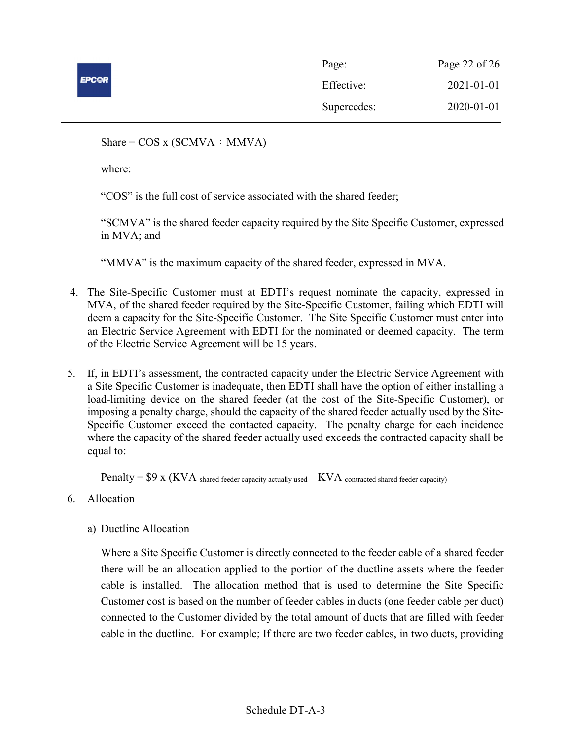

| Page:       | Page 22 of 26 |
|-------------|---------------|
| Effective:  | 2021-01-01    |
| Supercedes: | 2020-01-01    |

Share =  $COS x (SCMVA \div MMVA)$ 

where:

"COS" is the full cost of service associated with the shared feeder;

"SCMVA" is the shared feeder capacity required by the Site Specific Customer, expressed in MVA; and

"MMVA" is the maximum capacity of the shared feeder, expressed in MVA.

- 4. The Site-Specific Customer must at EDTI's request nominate the capacity, expressed in MVA, of the shared feeder required by the Site-Specific Customer, failing which EDTI will deem a capacity for the Site-Specific Customer. The Site Specific Customer must enter into an Electric Service Agreement with EDTI for the nominated or deemed capacity. The term of the Electric Service Agreement will be 15 years.
- 5. If, in EDTI's assessment, the contracted capacity under the Electric Service Agreement with a Site Specific Customer is inadequate, then EDTI shall have the option of either installing a load-limiting device on the shared feeder (at the cost of the Site-Specific Customer), or imposing a penalty charge, should the capacity of the shared feeder actually used by the Site-Specific Customer exceed the contacted capacity. The penalty charge for each incidence where the capacity of the shared feeder actually used exceeds the contracted capacity shall be equal to:

Penalty =  $$9 x$  (KVA shared feeder capacity actually used  $-KVA$  contracted shared feeder capacity)

- 6. Allocation
	- a) Ductline Allocation

Where a Site Specific Customer is directly connected to the feeder cable of a shared feeder there will be an allocation applied to the portion of the ductline assets where the feeder cable is installed. The allocation method that is used to determine the Site Specific Customer cost is based on the number of feeder cables in ducts (one feeder cable per duct) connected to the Customer divided by the total amount of ducts that are filled with feeder cable in the ductline. For example; If there are two feeder cables, in two ducts, providing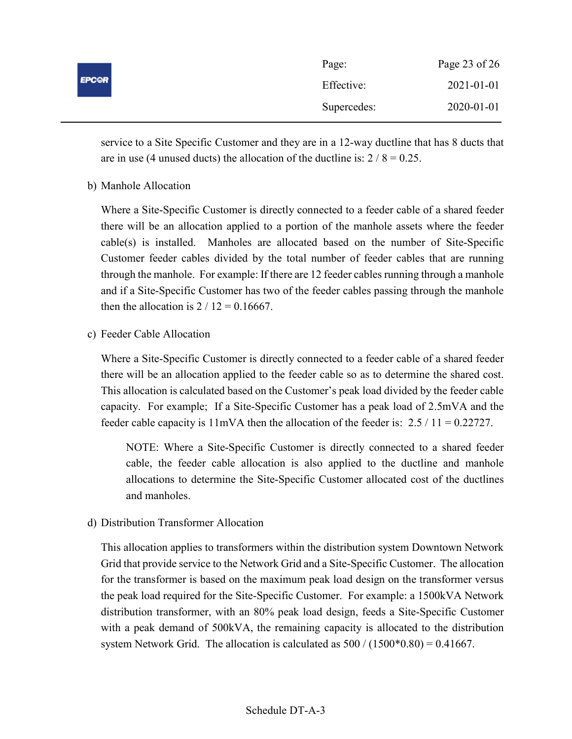|              | Page:       | Page 23 of 26 |
|--------------|-------------|---------------|
| <b>EPCOR</b> | Effective:  | 2021-01-01    |
|              | Supercedes: | 2020-01-01    |

service to a Site Specific Customer and they are in a 12-way ductline that has 8 ducts that are in use (4 unused ducts) the allocation of the ductline is:  $2 / 8 = 0.25$ .

b) Manhole Allocation

Where a Site-Specific Customer is directly connected to a feeder cable of a shared feeder there will be an allocation applied to a portion of the manhole assets where the feeder cable(s) is installed. Manholes are allocated based on the number of Site-Specific Customer feeder cables divided by the total number of feeder cables that are running through the manhole. For example: If there are 12 feeder cables running through a manhole and if a Site-Specific Customer has two of the feeder cables passing through the manhole then the allocation is  $2 / 12 = 0.16667$ .

c) Feeder Cable Allocation

Where a Site-Specific Customer is directly connected to a feeder cable of a shared feeder there will be an allocation applied to the feeder cable so as to determine the shared cost. This allocation is calculated based on the Customer's peak load divided by the feeder cable capacity. For example; If a Site-Specific Customer has a peak load of 2.5mVA and the feeder cable capacity is  $11mVA$  then the allocation of the feeder is:  $2.5 / 11 = 0.22727$ .

NOTE: Where a Site-Specific Customer is directly connected to a shared feeder cable, the feeder cable allocation is also applied to the ductline and manhole allocations to determine the Site-Specific Customer allocated cost of the ductlines and manholes.

d) Distribution Transformer Allocation

This allocation applies to transformers within the distribution system Downtown Network Grid that provide service to the Network Grid and a Site-Specific Customer. The allocation for the transformer is based on the maximum peak load design on the transformer versus the peak load required for the Site-Specific Customer. For example: a 1500kVA Network distribution transformer, with an 80% peak load design, feeds a Site-Specific Customer with a peak demand of 500kVA, the remaining capacity is allocated to the distribution system Network Grid. The allocation is calculated as  $500 / (1500*0.80) = 0.41667$ .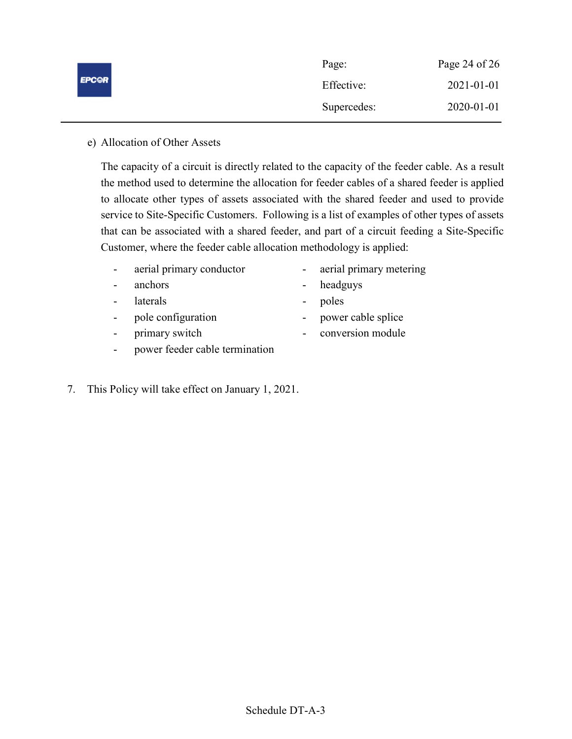|              | Page:       | Page 24 of $26$  |
|--------------|-------------|------------------|
| <b>EPC@R</b> | Effective:  | $2021 - 01 - 01$ |
|              | Supercedes: | 2020-01-01       |

### e) Allocation of Other Assets

The capacity of a circuit is directly related to the capacity of the feeder cable. As a result the method used to determine the allocation for feeder cables of a shared feeder is applied to allocate other types of assets associated with the shared feeder and used to provide service to Site-Specific Customers. Following is a list of examples of other types of assets that can be associated with a shared feeder, and part of a circuit feeding a Site-Specific Customer, where the feeder cable allocation methodology is applied:

- aerial primary conductor aerial primary metering
- anchors headguys
- laterals poles
- pole configuration power cable splice
- primary switch conversion module
- 
- power feeder cable termination
- 7. This Policy will take effect on January 1, 2021.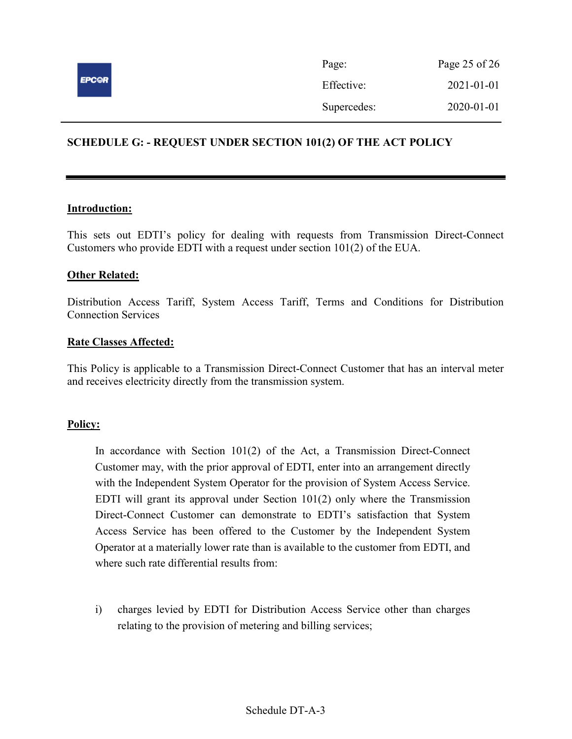

# SCHEDULE G: - REQUEST UNDER SECTION 101(2) OF THE ACT POLICY

#### Introduction:

This sets out EDTI's policy for dealing with requests from Transmission Direct-Connect Customers who provide EDTI with a request under section 101(2) of the EUA.

#### Other Related:

Distribution Access Tariff, System Access Tariff, Terms and Conditions for Distribution Connection Services

#### Rate Classes Affected:

This Policy is applicable to a Transmission Direct-Connect Customer that has an interval meter and receives electricity directly from the transmission system.

#### Policy:

In accordance with Section 101(2) of the Act, a Transmission Direct-Connect Customer may, with the prior approval of EDTI, enter into an arrangement directly with the Independent System Operator for the provision of System Access Service. EDTI will grant its approval under Section  $101(2)$  only where the Transmission Direct-Connect Customer can demonstrate to EDTI's satisfaction that System Access Service has been offered to the Customer by the Independent System Operator at a materially lower rate than is available to the customer from EDTI, and where such rate differential results from:

i) charges levied by EDTI for Distribution Access Service other than charges relating to the provision of metering and billing services;